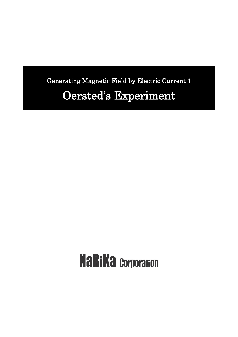Generating Magnetic Field by Electric Current 1

## Oersted's Experiment

# **NaRiKa Corporation**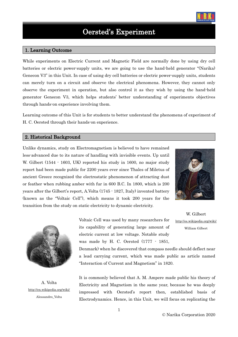

### Oersted's Experiment

#### 1. Learning Outcome

While experiments on Electric Current and Magnetic Field are normally done by using dry cell batteries or electric power-supply units, we are going to use the hand-held generator "(Narika) Genecon V3" in this Unit. In case of using dry cell batteries or electric power-supply units, students can merely turn on a circuit and observe the electrical phenomena. However, they cannot only observe the experiment in operation, but also control it as they wish by using the hand-held generator Genecon V3, which helps students' better understanding of experiments objectives through hands-on experience involving them.

Learning outcome of this Unit is for students to better understand the phenomena of experiment of H. C. Oersted through their hands-on experience.

#### 2. Historical Background

Unlike dynamics, study on Electromagnetism is believed to have remained less-advanced due to its nature of handling with invisible events. Up until W. Gilbert (1544  $\cdot$  1603, UK) reported his study in 1600, no major study report had been made public for 2200 years ever since Thales of Miletus of ancient Greece recognized the electrostatic phenomenon of attracting dust or feather when rubbing amber with fur in 600 B.C. In 1800, which is 200 years after the Gilbert's report, A.Volta (1745 - 1827, Italy) invented battery (known as the "Voltaic Cell"), which means it took 200 years for the transition from the study on static electricity to dynamic electricity.





A. Volta <http://en.wikipedia.org/wiki/> Alessandro\_Volta

Voltaic Cell was used by many researchers for its capability of generating large amount of electric current at low voltage. Notable study was made by H. C. Oersted (1777 - 1851,

Denmark) when he discovered that compass needle should deflect near a lead carrying current, which was made public as article named "Interaction of Current and Magnetism" in 1820.

It is commonly believed that A. M. Ampere made public his theory of Electricity and Magnetism in the same year, because he was deeply impressed with Oersted's report then, established basis of Electrodynamics. Hence, in this Unit, we will focus on replicating the

W. Gilbert <http://es.wikipedia.org/wiki/> William Gilbert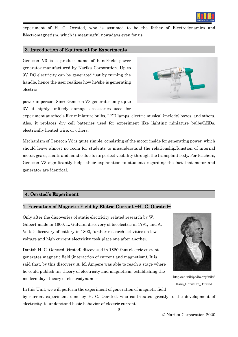

experiment of H. C. Oersted, who is assumed to be the father of Electrodynamics and Electromagnetism, which is meaningful nowadays even for us.

#### 3. Introduction of Equipment for Experiments

Genecon V3 is a product name of hand-held power generator manufactured by Narika Corporation. Up to 3V DC electricity can be generated just by turning the handle, hence the user realizes how he/she is generating electric



power in person. Since Genecon V3 generates only up to 3V, it highly unlikely damage accessories used for

experiment at schools like miniature bulbs, LED lamps, electric musical (melody) boxes, and others. Also, it replaces dry cell batteries used for experiment like lighting miniature bulbs/LEDs, electrically heated wire, or others.

Mechanism of Genecon V3 is quite simple, consisting of the motor inside for generating power, which should leave almost no room for students to misunderstand the relationship/function of internal motor, gears, shafts and handle due to its perfect visibility through the transplant body. For teachers, Genecon V3 significantly helps their explanation to students regarding the fact that motor and generator are identical.

#### 4. Oersted's Experiment

#### 1. Formation of Magnetic Field by Eletric Current ~H. C. Oersted~

Only after the discoveries of static electricity related research by W. Gilbert made in 1600, L. Galvani discovery of bioelectric in 1791, and A. Volta's discovery of battery in 1800, further research activities on low voltage and high current electricity took place one after another.

Danish H. C. Oersted (Ørsted) discovered in 1820 that electric current generates magnetic field (interaction of current and magnetism). It is said that, by this discovery, A. M. Ampere was able to reach a stage where he could publish his theory of electricity and magnetism, establishing the modern days theory of electrodynamics.



http://en.wikipedia.org/wiki/ Hans\_Christian\_ Ørsted

In this Unit, we will perform the experiment of generation of magnetic field

by current experiment done by H. C. Oersted, who contributed greatly to the development of electricity, to understand basic behavior of electric current.

2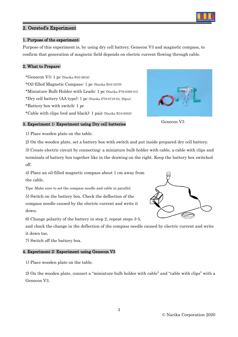#### 2. Oersted's Experiment

#### 1. Purpose of the experiment:

Purpose of this experiment is, by using dry cell battery, Genecon V3 and magnetic compass, to confirm that generation of magnetic field depends on electric current flowing through cable.

#### 2. What to Prepare:

\*Genecon V3: 1 pc (Narika B10-2634) \*Oil-filled Magnetic Compass: 1 pc (Narika B10-3570) \*Miniature Bulb Holder with Leads: 1 pc (Narika P70-0395-01) \*Dry cell battery (AA type): 1 pc (Narika P70-0719-03, 20pcs) \*Battery box with switch: 1 pc \*Cable with clips (red and black): 1 pair (Narika B10-6503)

3. Experiment 1: Experiment using Dry cell batteries



#### Genecon V3

1) Place wooden plate on the table.

2) On the wooden plate, set a battery box with switch and put inside prepared dry cell battery.

3) Create electric circuit by connecting: a miniature bulb holder with cable, a cable with clips and terminals of battery box together like in the drawing on the right. Keep the battery box switched off.

4) Place an oil-filled magnetic compass about 1 cm away from the cable.

Tips: Make sure to set the compass needle and cable in parallel.

5) Switch on the battery box. Check the deflection of the compass needle caused by the electric current and write it down.

6) Change polarity of the battery in step 2, repeat steps 3-5,

and check the change in the deflection of the compass needle caused by electric current and write it down too.

7) Switch off the battery box.

#### 4. Experiment 2: Experiment using Genecon V3

1) Place wooden plate on the table.

2) On the wooden plate, connect a "miniature bulb holder with cable" and "cable with clips" with a Genecon V3.



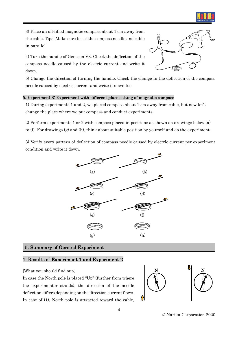

3) Place an oil-filled magnetic compass about 1 cm away from the cable. Tips: Make sure to set the compass needle and cable in parallel.



4) Turn the handle of Genecon V3. Check the deflection of the compass needle caused by the electric current and write it down.

5) Change the direction of turning the handle. Check the change in the deflection of the compass needle caused by electric current and write it down too.

#### 5. Experiment 3: Experiment with different place setting of magnetic compass

1) During experiments 1 and 2, we placed compass about 1 cm away from cable, but now let's change the place where we put compass and conduct experiments.

2) Perform experiments 1 or 2 with compass placed in positions as shown on drawings below (a) to (f). For drawings (g) and (h), think about suitable position by yourself and do the experiment.

3) Verify every pattern of deflection of compass needle caused by electric current per experiment condition and write it down.



#### 5. Summary of Oersted Experiment

#### 1. Results of Experiment 1 and Experiment 2

#### [What you should find out:]

In case the North pole is placed "Up" (further from where the experimenter stands), the direction of the needle deflection differs depending on the direction current flows. In case of (1), North pole is attracted toward the cable,

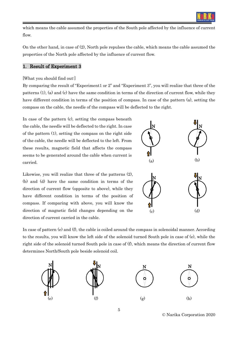

which means the cable assumed the properties of the South pole affected by the influence of current flow.

On the other hand, in case of (2), North pole repulses the cable, which means the cable assumed the properties of the North pole affected by the influence of current flow.

#### 1. Result of Experiment 3

#### [What you should find out:]

By comparing the result of "Experiment1 or 2" and "Experiment 3", you will realize that three of the patterns  $(1)$ ,  $(a)$  and  $(c)$  have the same condition in terms of the direction of current flow, while they have different condition in terms of the position of compass. In case of the pattern (a), setting the compass on the cable, the needle of the compass will be deflected to the right.

In case of the pattern (c), setting the compass beneath the cable, the needle will be deflected to the right. In case of the pattern (1), setting the compass on the right side of the cable, the needle will be deflected to the left. From these results, magnetic field that affects the compass seems to be generated around the cable when current is carried.

Likewise, you will realize that three of the patterns (2), (b) and (d) have the same condition in terms of the direction of current flow (opposite to above), while they have different condition in terms of the position of compass. If comparing with above, you will know the direction of magnetic field changes depending on the direction of current carried in the cable.



In case of pattern (e) and (f), the cable is coiled around the compass in solenoidal manner. According to the results, you will know the left side of the solenoid turned South pole in case of (e), while the right side of the solenoid turned South pole in case of (f), which means the direction of current flow determines North/South pole beside solenoid coil.



© Narika Corporation 2020